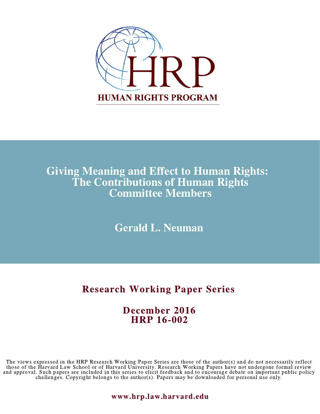

# Giving Meaning and Effect to Human Rights: The Contributions of Human Rights Committee Members

Gerald L. Neuman

## Research Working Paper Series

December 2016 HRP 16-002

The views expressed in the HRP Research Working Paper Series are those of the author(s) and do not necessarily reflect those of the Harvard Law School or of Harvard University. Research Working Papers have not undergone formal review and approval. Such papers are included in this series to elicit feedback and to encourage debate on important public policy challenges. Copyright belongs to the author(s). Papers may be downloaded for personal use only.

[www.hrp.law.harvard.edu](http://hrp.law.harvard.edu/)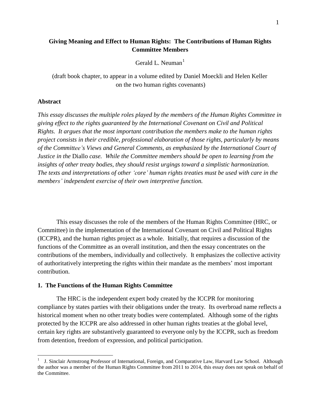### **Giving Meaning and Effect to Human Rights: The Contributions of Human Rights Committee Members**

Gerald L. Neuman 1

(draft book chapter, to appear in a volume edited by Daniel Moeckli and Helen Keller on the two human rights covenants)

#### **Abstract**

*This essay discusses the multiple roles played by the members of the Human Rights Committee in giving effect to the rights guaranteed by the International Covenant on Civil and Political Rights. It argues that the most important contribution the members make to the human rights project consists in their credible, professional elaboration of those rights, particularly by means of the Committee's Views and General Comments, as emphasized by the International Court of Justice in the* Diallo *case. While the Committee members should be open to learning from the insights of other treaty bodies, they should resist urgings toward a simplistic harmonization. The texts and interpretations of other 'core' human rights treaties must be used with care in the members' independent exercise of their own interpretive function.*

This essay discusses the role of the members of the Human Rights Committee (HRC, or Committee) in the implementation of the International Covenant on Civil and Political Rights (ICCPR), and the human rights project as a whole. Initially, that requires a discussion of the functions of the Committee as an overall institution, and then the essay concentrates on the contributions of the members, individually and collectively. It emphasizes the collective activity of authoritatively interpreting the rights within their mandate as the members' most important contribution.

#### **1. The Functions of the Human Rights Committee**

The HRC is the independent expert body created by the ICCPR for monitoring compliance by states parties with their obligations under the treaty. Its overbroad name reflects a historical moment when no other treaty bodies were contemplated. Although some of the rights protected by the ICCPR are also addressed in other human rights treaties at the global level, certain key rights are substantively guaranteed to everyone only by the ICCPR, such as freedom from detention, freedom of expression, and political participation.

<sup>1</sup>J. Sinclair Armstrong Professor of International, Foreign, and Comparative Law, Harvard Law School. Although the author was a member of the Human Rights Committee from 2011 to 2014, this essay does not speak on behalf of the Committee.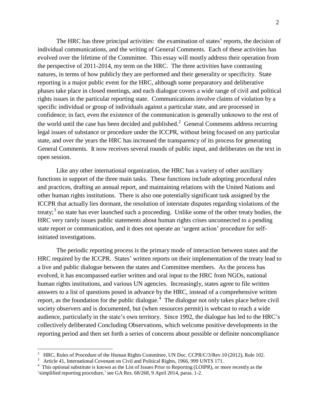The HRC has three principal activities: the examination of states' reports, the decision of individual communications, and the writing of General Comments. Each of these activities has evolved over the lifetime of the Committee. This essay will mostly address their operation from the perspective of 2011-2014, my term on the HRC. The three activities have contrasting natures, in terms of how publicly they are performed and their generality or specificity. State reporting is a major public event for the HRC, although some preparatory and deliberative phases take place in closed meetings, and each dialogue covers a wide range of civil and political rights issues in the particular reporting state. Communications involve claims of violation by a specific individual or group of individuals against a particular state, and are processed in confidence; in fact, even the existence of the communication is generally unknown to the rest of the world until the case has been decided and published.<sup>2</sup> General Comments address recurring legal issues of substance or procedure under the ICCPR, without being focused on any particular state, and over the years the HRC has increased the transparency of its process for generating General Comments. It now receives several rounds of public input, and deliberates on the text in open session.

Like any other international organization, the HRC has a variety of other auxiliary functions in support of the three main tasks. These functions include adopting procedural rules and practices, drafting an annual report, and maintaining relations with the United Nations and other human rights institutions. There is also one potentially significant task assigned by the ICCPR that actually lies dormant, the resolution of interstate disputes regarding violations of the treaty;<sup>3</sup> no state has ever launched such a proceeding. Unlike some of the other treaty bodies, the HRC very rarely issues public statements about human rights crises unconnected to a pending state report or communication, and it does not operate an 'urgent action' procedure for selfinitiated investigations.

The periodic reporting process is the primary mode of interaction between states and the HRC required by the ICCPR. States' written reports on their implementation of the treaty lead to a live and public dialogue between the states and Committee members. As the process has evolved, it has encompassed earlier written and oral input to the HRC from NGOs, national human rights institutions, and various UN agencies. Increasingly, states agree to file written answers to a list of questions posed in advance by the HRC, instead of a comprehensive written report, as the foundation for the public dialogue.<sup>4</sup> The dialogue not only takes place before civil society observers and is documented, but (when resources permit) is webcast to reach a wide audience, particularly in the state's own territory. Since 1992, the dialogue has led to the HRC's collectively deliberated Concluding Observations, which welcome positive developments in the reporting period and then set forth a series of concerns about possible or definite noncompliance

<sup>&</sup>lt;sup>2</sup> HRC, Rules of Procedure of the Human Rights Committee, UN Doc. CCPR/C/3/Rev.10 (2012), Rule 102.

<sup>&</sup>lt;sup>3</sup> Article 41, International Covenant on Civil and Political Rights, 1966, 999 UNTS 171.

<sup>&</sup>lt;sup>4</sup> This optional substitute is known as the List of Issues Prior to Reporting (LOIPR), or more recently as the 'simplified reporting procedure,' see GA Res. 68/268, 9 April 2014, paras. 1-2.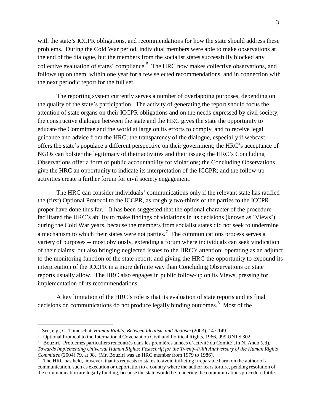with the state's ICCPR obligations, and recommendations for how the state should address these problems. During the Cold War period, individual members were able to make observations at the end of the dialogue, but the members from the socialist states successfully blocked any collective evaluation of states' compliance.<sup>5</sup> The HRC now makes collective observations, and follows up on them, within one year for a few selected recommendations, and in connection with the next periodic report for the full set.

The reporting system currently serves a number of overlapping purposes, depending on the quality of the state's participation. The activity of generating the report should focus the attention of state organs on their ICCPR obligations and on the needs expressed by civil society; the constructive dialogue between the state and the HRC gives the state the opportunity to educate the Committee and the world at large on its efforts to comply, and to receive legal guidance and advice from the HRC; the transparency of the dialogue, especially if webcast, offers the state's populace a different perspective on their government; the HRC's acceptance of NGOs can bolster the legitimacy of their activities and their issues; the HRC's Concluding Observations offer a form of public accountability for violations; the Concluding Observations give the HRC an opportunity to indicate its interpretation of the ICCPR; and the follow-up activities create a further forum for civil society engagement.

The HRC can consider individuals' communications only if the relevant state has ratified the (first) Optional Protocol to the ICCPR, as roughly two-thirds of the parties to the ICCPR proper have done thus far.<sup>6</sup> It has been suggested that the optional character of the procedure facilitated the HRC's ability to make findings of violations in its decisions (known as 'Views') during the Cold War years, because the members from socialist states did not seek to undermine a mechanism to which their states were not parties.<sup>7</sup> The communications process serves a variety of purposes -- most obviously, extending a forum where individuals can seek vindication of their claims; but also bringing neglected issues to the HRC's attention; operating as an adjunct to the monitoring function of the state report; and giving the HRC the opportunity to expound its interpretation of the ICCPR in a more definite way than Concluding Observations on state reports usually allow. The HRC also engages in public follow-up on its Views, pressing for implementation of its recommendations.

A key limitation of the HRC's role is that its evaluation of state reports and its final decisions on communications do not produce legally binding outcomes. $^8$  Most of the

<sup>5</sup>See, e.g., C. Tomuschat, *Human Rights: Between Idealism and Realism* (2003), 147-149.

<sup>&</sup>lt;sup>6</sup> Optional Protocol to the International Covenant on Civil and Political Rights, 1966, 999 UNTS 302.

<sup>7</sup>Bouziri, 'Problèmes particuliers rencontrés dans les premières années d'activité du Comité', in N. Ando (ed), *Towards Implementing Universal Human Rights: Festschrift for the Twenty-Fifth Anniversary of the Human Rights Committee* (2004) 79, at 98. (Mr. Bouziri was an HRC member from 1979 to 1986).

The HRC has held, however, that its requests to states to avoid inflicting irreparable harm on the author of a communication, such as execution or deportation to a country where the author fears torture, pending resolution of the communication are legally binding, because the state would be rendering the communications procedure futile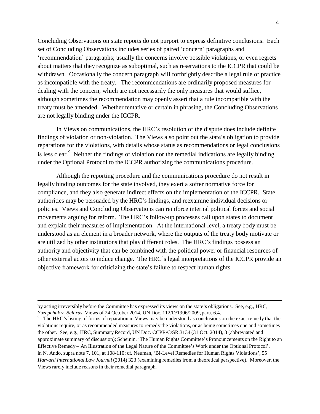Concluding Observations on state reports do not purport to express definitive conclusions. Each set of Concluding Observations includes series of paired 'concern' paragraphs and 'recommendation' paragraphs; usually the concerns involve possible violations, or even regrets about matters that they recognize as suboptimal, such as reservations to the ICCPR that could be withdrawn. Occasionally the concern paragraph will forthrightly describe a legal rule or practice as incompatible with the treaty. The recommendations are ordinarily proposed measures for dealing with the concern, which are not necessarily the only measures that would suffice, although sometimes the recommendation may openly assert that a rule incompatible with the treaty must be amended. Whether tentative or certain in phrasing, the Concluding Observations are not legally binding under the ICCPR.

In Views on communications, the HRC's resolution of the dispute does include definite findings of violation or non-violation. The Views also point out the state's obligation to provide reparations for the violations, with details whose status as recommendations or legal conclusions is less clear. $9$  Neither the findings of violation nor the remedial indications are legally binding under the Optional Protocol to the ICCPR authorizing the communications procedure.

Although the reporting procedure and the communications procedure do not result in legally binding outcomes for the state involved, they exert a softer normative force for compliance, and they also generate indirect effects on the implementation of the ICCPR. State authorities may be persuaded by the HRC's findings, and reexamine individual decisions or policies. Views and Concluding Observations can reinforce internal political forces and social movements arguing for reform. The HRC's follow-up processes call upon states to document and explain their measures of implementation. At the international level, a treaty body must be understood as an element in a broader network, where the outputs of the treaty body motivate or are utilized by other institutions that play different roles. The HRC's findings possess an authority and objectivity that can be combined with the political power or financial resources of other external actors to induce change. The HRC's legal interpretations of the ICCPR provide an objective framework for criticizing the state's failure to respect human rights.

by acting irreversibly before the Committee has expressed its views on the state's obligations. See, e.g., HRC, *Yuzepchuk v. Belarus*, Views of 24 October 2014, UN Doc. 112/D/1906/2009, para. 6.4.

The HRC's listing of forms of reparation in Views may be understood as conclusions on the exact remedy that the violations require, or as recommended measures to remedy the violations, or as being sometimes one and sometimes the other. See, e.g., HRC, Summary Record, UN Doc. CCPR/C/SR.3134 (31 Oct. 2014), 3 (abbreviated and approximate summary of discussion); Scheinin, 'The Human Rights Committee's Pronouncements on the Right to an Effective Remedy – An Illustration of the Legal Nature of the Committee's Work under the Optional Protocol', in N. Ando, supra note 7, 101, at 108-110; cf. Neuman, 'Bi-Level Remedies for Human Rights Violations', 55 *Harvard International Law Journal* (2014) 323 (examining remedies from a theoretical perspective). Moreover, the Views rarely include reasons in their remedial paragraph.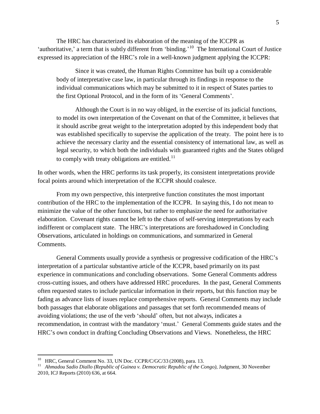The HRC has characterized its elaboration of the meaning of the ICCPR as 'authoritative,' a term that is subtly different from 'binding.'<sup>10</sup> The International Court of Justice expressed its appreciation of the HRC's role in a well-known judgment applying the ICCPR:

Since it was created, the Human Rights Committee has built up a considerable body of interpretative case law, in particular through its findings in response to the individual communications which may be submitted to it in respect of States parties to the first Optional Protocol, and in the form of its 'General Comments'.

Although the Court is in no way obliged, in the exercise of its judicial functions, to model its own interpretation of the Covenant on that of the Committee, it believes that it should ascribe great weight to the interpretation adopted by this independent body that was established specifically to supervise the application of the treaty. The point here is to achieve the necessary clarity and the essential consistency of international law, as well as legal security, to which both the individuals with guaranteed rights and the States obliged to comply with treaty obligations are entitled.<sup>11</sup>

In other words, when the HRC performs its task properly, its consistent interpretations provide focal points around which interpretation of the ICCPR should coalesce.

From my own perspective, this interpretive function constitutes the most important contribution of the HRC to the implementation of the ICCPR. In saying this, I do not mean to minimize the value of the other functions, but rather to emphasize the need for authoritative elaboration. Covenant rights cannot be left to the chaos of self-serving interpretations by each indifferent or complacent state. The HRC's interpretations are foreshadowed in Concluding Observations, articulated in holdings on communications, and summarized in General Comments.

General Comments usually provide a synthesis or progressive codification of the HRC's interpretation of a particular substantive article of the ICCPR, based primarily on its past experience in communications and concluding observations. Some General Comments address cross-cutting issues, and others have addressed HRC procedures. In the past, General Comments often requested states to include particular information in their reports, but this function may be fading as advance lists of issues replace comprehensive reports. General Comments may include both passages that elaborate obligations and passages that set forth recommended means of avoiding violations; the use of the verb 'should' often, but not always, indicates a recommendation, in contrast with the mandatory 'must.' General Comments guide states and the HRC's own conduct in drafting Concluding Observations and Views. Nonetheless, the HRC

<sup>&</sup>lt;sup>10</sup> HRC, General Comment No. 33, UN Doc. CCPR/C/GC/33 (2008), para. 13.

<sup>11</sup>*Ahmadou Sadio Diallo (Republic of Guinea v. Democratic Republic of the Congo)*, Judgment, 30 November 2010, ICJ Reports (2010) 636, at 664.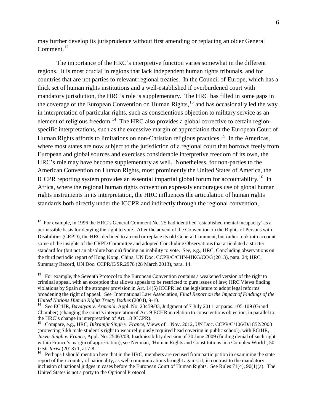may further develop its jurisprudence without first amending or replacing an older General Comment.<sup>12</sup>

The importance of the HRC's interpretive function varies somewhat in the different regions. It is most crucial in regions that lack independent human rights tribunals, and for countries that are not parties to relevant regional treaties. In the Council of Europe, which has a thick set of human rights institutions and a well-established if overburdened court with mandatory jurisdiction, the HRC's role is supplementary. The HRC has filled in some gaps in the coverage of the European Convention on Human Rights, <sup>13</sup> and has occasionally led the way in interpretation of particular rights, such as conscientious objection to military service as an element of religious freedom.<sup>14</sup> The HRC also provides a global corrective to certain regionspecific interpretations, such as the excessive margin of appreciation that the European Court of Human Rights affords to limitations on non-Christian religious practices.<sup>15</sup> In the Americas, where most states are now subject to the jurisdiction of a regional court that borrows freely from European and global sources and exercises considerable interpretive freedom of its own, the HRC's role may have become supplementary as well. Nonetheless, for non-parties to the American Convention on Human Rights, most prominently the United States of America, the ICCPR reporting system provides an essential impartial global forum for accountability.<sup>16</sup> In Africa, where the regional human rights convention expressly encourages use of global human rights instruments in its interpretation, the HRC influences the articulation of human rights standards both directly under the ICCPR and indirectly through the regional convention,

<sup>&</sup>lt;sup>12</sup> For example, in 1996 the HRC's General Comment No. 25 had identified 'established mental incapacity' as a permissible basis for denying the right to vote. After the advent of the Convention on the Rights of Persons with Disabilities (CRPD), the HRC declined to amend or replace its old General Comment, but rather took into account some of the insights of the CRPD Committee and adopted Concluding Observations that articulated a stricter standard for (but not an absolute ban on) finding an inability to vote. See, e.g., HRC, Concluding observations on the third periodic report of Hong Kong, China, UN Doc. CCPR/C/CHN-HKG/CO/3 (2013), para. 24; HRC, Summary Record, UN Doc. CCPR/C/SR.2978 (28 March 2013), para. 14.

 $13$  For example, the Seventh Protocol to the European Convention contains a weakened version of the right to criminal appeal, with an exception that allows appeals to be restricted to pure issues of law; HRC Views finding violations by Spain of the stronger provision in Art. 14(5) ICCPR led the legislature to adopt legal reforms broadening the right of appeal. See International Law Association, *Final Report on the Impact of Findings of the United Nations Human Rights Treaty Bodies* (2004), 9-10.

<sup>&</sup>lt;sup>14</sup> See ECtHR, *Bayatyan v. Armenia*, Appl. No. 23459/03, Judgment of 7 July 2011, at paras. 105-109 (Grand Chamber) (changing the court's interpretation of Art. 9 ECHR in relation to conscientious objection, in parallel to the HRC's change in interpretation of Art. 18 ICCPR).

<sup>&</sup>lt;sup>15</sup> Compare, e.g., HRC, *Bikramjit Singh v. France*, Views of 1 Nov. 2012, UN Doc. CCPR/C/106/D/1852/2008 (protecting Sikh male student's right to wear religiously required head covering in public school), with ECtHR, *Jasvir Singh v. France*, Appl. No. 25463/08, Inadmissibility decision of 30 June 2009 (finding denial of such right within France's margin of appreciation); see Neuman, 'Human Rights and Constitutions in a Complex World', 50 *Irish Jurist* (2013) 1, at 7-8.

<sup>&</sup>lt;sup>16</sup> Perhaps I should mention here that in the HRC, members are recused from participation in examining the state report of their country of nationality, as well communications brought against it, in contrast to the mandatory inclusion of national judges in cases before the European Court of Human Rights. See Rules 71(4), 90(1)(a). The United States is not a party to the Optional Protocol.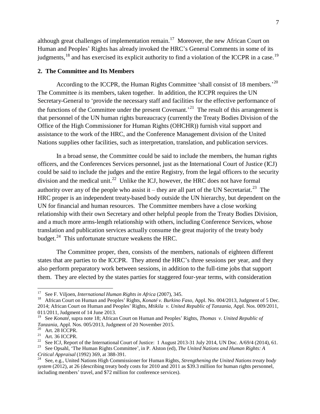although great challenges of implementation remain.<sup>17</sup> Moreover, the new African Court on Human and Peoples' Rights has already invoked the HRC's General Comments in some of its judgments,  $^{18}$  and has exercised its explicit authority to find a violation of the ICCPR in a case.<sup>19</sup>

#### **2. The Committee and Its Members**

According to the ICCPR, the Human Rights Committee 'shall consist of 18 members.<sup>20</sup> The Committee *is* its members, taken together. In addition, the ICCPR requires the UN Secretary-General to 'provide the necessary staff and facilities for the effective performance of the functions of the Committee under the present Covenant.<sup>21</sup> The result of this arrangement is that personnel of the UN human rights bureaucracy (currently the Treaty Bodies Division of the Office of the High Commissioner for Human Rights (OHCHR)) furnish vital support and assistance to the work of the HRC, and the Conference Management division of the United Nations supplies other facilities, such as interpretation, translation, and publication services.

In a broad sense, the Committee could be said to include the members, the human rights officers, and the Conferences Services personnel, just as the International Court of Justice (ICJ) could be said to include the judges and the entire Registry, from the legal officers to the security division and the medical unit.<sup>22</sup> Unlike the ICJ, however, the HRC does not have formal authority over any of the people who assist it – they are all part of the UN Secretariat.<sup>23</sup> The HRC proper is an independent treaty-based body outside the UN hierarchy, but dependent on the UN for financial and human resources. The Committee members have a close working relationship with their own Secretary and other helpful people from the Treaty Bodies Division, and a much more arms-length relationship with others, including Conference Services, whose translation and publication services actually consume the great majority of the treaty body budget. $^{24}$  This unfortunate structure weakens the HRC.

The Committee proper, then, consists of the members, nationals of eighteen different states that are parties to the ICCPR. They attend the HRC's three sessions per year, and they also perform preparatory work between sessions, in addition to the full-time jobs that support them. They are elected by the states parties for staggered four-year terms, with consideration

<sup>&</sup>lt;sup>17</sup> See F. Viljoen, *International Human Rights in Africa* (2007), 345.

<sup>&</sup>lt;sup>18</sup> African Court on Human and Peoples' Rights, *Konaté v. Burkino Faso*, Appl. No. 004/2013, Judgment of 5 Dec. 2014; African Court on Human and Peoples' Rights, *Mtikila v. United Republic of Tanzania*, Appl. Nos. 009/2011, 011/2011, Judgment of 14 June 2013.

<sup>19</sup>See *Konaté*, supra note 18; African Court on Human and Peoples' Rights, *Thomas v. United Republic of Tanzania*, Appl. Nos. 005/2013, Judgment of 20 November 2015.

Art. 28 ICCPR.

 $21$  Art. 36 ICCPR.

<sup>&</sup>lt;sup>22</sup> See ICJ, Report of the International Court of Justice: 1 August 2013-31 July 2014, UN Doc.  $A/69/4$  (2014), 61.

<sup>23</sup>See Opsahl, 'The Human Rights Committee', in P. Alston (ed), *The United Nations and Human Rights: A Critical Appraisal* (1992) 369, at 388-391.

<sup>24</sup>See, e.g., United Nations High Commissioner for Human Rights, *Strengthening the United Nations treaty body system* (2012), at 26 (describing treaty body costs for 2010 and 2011 as \$39.3 million for human rights personnel, including members' travel, and \$72 million for conference services).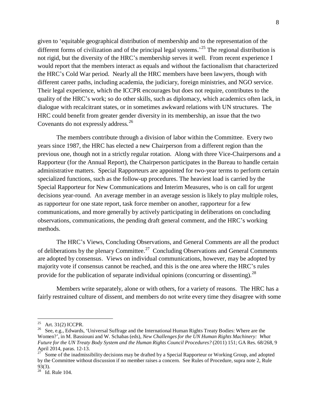given to 'equitable geographical distribution of membership and to the representation of the different forms of civilization and of the principal legal systems.<sup>25</sup> The regional distribution is not rigid, but the diversity of the HRC's membership serves it well. From recent experience I would report that the members interact as equals and without the factionalism that characterized the HRC's Cold War period. Nearly all the HRC members have been lawyers, though with different career paths, including academia, the judiciary, foreign ministries, and NGO service. Their legal experience, which the ICCPR encourages but does not require, contributes to the quality of the HRC's work; so do other skills, such as diplomacy, which academics often lack, in dialogue with recalcitrant states, or in sometimes awkward relations with UN structures. The HRC could benefit from greater gender diversity in its membership, an issue that the two Covenants do not expressly address*.* 26

The members contribute through a division of labor within the Committee. Every two years since 1987, the HRC has elected a new Chairperson from a different region than the previous one, though not in a strictly regular rotation. Along with three Vice-Chairpersons and a Rapporteur (for the Annual Report), the Chairperson participates in the Bureau to handle certain administrative matters. Special Rapporteurs are appointed for two-year terms to perform certain specialized functions, such as the follow-up procedures. The heaviest load is carried by the Special Rapporteur for New Communications and Interim Measures, who is on call for urgent decisions year-round. An average member in an average session is likely to play multiple roles, as rapporteur for one state report, task force member on another, rapporteur for a few communications, and more generally by actively participating in deliberations on concluding observations, communications, the pending draft general comment, and the HRC's working methods.

The HRC's Views, Concluding Observations, and General Comments are all the product of deliberations by the plenary Committee.<sup>27</sup> Concluding Observations and General Comments are adopted by consensus. Views on individual communications, however, may be adopted by majority vote if consensus cannot be reached, and this is the one area where the HRC's rules provide for the publication of separate individual opinions (concurring or dissenting).<sup>28</sup>

Members write separately, alone or with others, for a variety of reasons. The HRC has a fairly restrained culture of dissent, and members do not write every time they disagree with some

<sup>&</sup>lt;sup>25</sup> Art. 31(2) ICCPR.

<sup>&</sup>lt;sup>26</sup> See, e.g., Edwards, 'Universal Suffrage and the International Human Rights Treaty Bodies: Where are the Women?', in M. Bassiouni and W. Schabas (eds), *New Challenges for the UN Human Rights Machinery: What Future for the UN Treaty Body System and the Human Rights Council Procedures?* (2011) 151; GA Res. 68/268, 9 April 2014, paras. 12-13.

<sup>27</sup>Some of the inadmissibility decisions may be drafted by a Special Rapporteur or Working Group, and adopted by the Committee without discussion if no member raises a concern. See Rules of Procedure, supra note 2, Rule  $\frac{93(3)}{28}$ .

Id. Rule 104.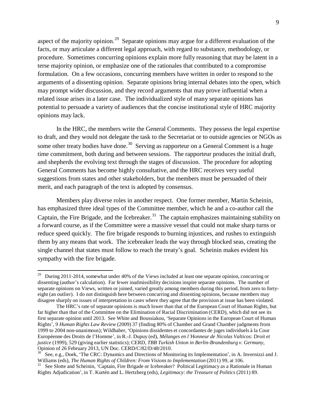aspect of the majority opinion.<sup>29</sup> Separate opinions may argue for a different evaluation of the facts, or may articulate a different legal approach, with regard to substance, methodology, or procedure. Sometimes concurring opinions explain more fully reasoning that may be latent in a terse majority opinion, or emphasize one of the rationales that contributed to a compromise formulation. On a few occasions, concurring members have written in order to respond to the arguments of a dissenting opinion. Separate opinions bring internal debates into the open, which may prompt wider discussion, and they record arguments that may prove influential when a related issue arises in a later case. The individualized style of many separate opinions has potential to persuade a variety of audiences that the concise institutional style of HRC majority opinions may lack.

In the HRC, the members write the General Comments. They possess the legal expertise to draft, and they would not delegate the task to the Secretariat or to outside agencies or NGOs as some other treaty bodies have done.<sup>30</sup> Serving as rapporteur on a General Comment is a huge time commitment, both during and between sessions. The rapporteur produces the initial draft, and shepherds the evolving text through the stages of discussion. The procedure for adopting General Comments has become highly consultative, and the HRC receives very useful suggestions from states and other stakeholders, but the members must be persuaded of their merit, and each paragraph of the text is adopted by consensus.

Members play diverse roles in another respect. One former member, Martin Scheinin, has emphasized three ideal types of the Committee member, which he and a co-author call the Captain, the Fire Brigade, and the Icebreaker.<sup>31</sup> The captain emphasizes maintaining stability on a forward course, as if the Committee were a massive vessel that could not make sharp turns or reduce speed quickly. The fire brigade responds to burning injustices, and rushes to extinguish them by any means that work. The icebreaker leads the way through blocked seas, creating the single channel that states must follow to reach the treaty's goal. Scheinin makes evident his sympathy with the fire brigade.

<sup>&</sup>lt;sup>29</sup> During 2011-2014, somewhat under 40% of the Views included at least one separate opinion, concurring or dissenting (author's calculation). Far fewer inadmissibility decisions inspire separate opinions. The number of separate opinions on Views, written or joined, varied greatly among members during this period, from zero to fortyeight (an outlier). I do not distinguish here between concurring and dissenting opinions, because members may disagree sharply on issues of interpretation in cases where they agree that the provision at issue has been violated.

The HRC's rate of separate opinions is much lower than that of the European Court of Human Rights, but far higher than that of the Committee on the Elimination of Racial Discrimination (CERD), which did not see its first separate opinion until 2013. See White and Boussiakou, 'Separate Opinions in the European Court of Human Rights', 9 *Human Rights Law Review* (2009) 37 (finding 80% of Chamber and Grand Chamber judgments from 1999 to 2004 non-unanimous); Wildhaber, 'Opinions dissidentes et concordantes de juges individuels à la Cour Européenne des Droits de l'Homme', in R.-J. Dupuy (ed), *Mélanges en l'Honneur de Nicolas Valticos: Droit et justice* (1999), 529 (giving earlier statistics); CERD, *TBB Turkish Union in Berlin-Brandenburg v. Germany*, Opinion of 26 February 2013, UN Doc. CERD/C/82/D/48/2010.

See, e.g., Doek, 'The CRC: Dynamics and Directions of Monitoring its Implementation', in A. Invernizzi and J. Williams (eds), *The Human Rights of Children: From Visions to Implementation* (2011) 99, at 106.

<sup>&</sup>lt;sup>31</sup> See Slotte and Scheinin, 'Captain, Fire Brigade or Icebreaker? Political Legitimacy as a Rationale in Human Rights Adjudication', in T. Kurtén and L. Hertzberg (eds), *Legitimacy: the Treasure of Politics* (2011) 89.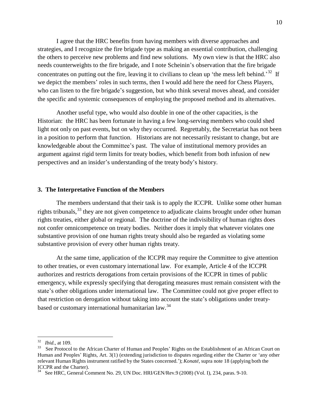I agree that the HRC benefits from having members with diverse approaches and strategies, and I recognize the fire brigade type as making an essential contribution, challenging the others to perceive new problems and find new solutions. My own view is that the HRC also needs counterweights to the fire brigade, and I note Scheinin's observation that the fire brigade concentrates on putting out the fire, leaving it to civilians to clean up 'the mess left behind.<sup>32</sup> If we depict the members' roles in such terms, then I would add here the need for Chess Players, who can listen to the fire brigade's suggestion, but who think several moves ahead, and consider the specific and systemic consequences of employing the proposed method and its alternatives.

Another useful type, who would also double in one of the other capacities, is the Historian: the HRC has been fortunate in having a few long-serving members who could shed light not only on past events, but on why they occurred. Regrettably, the Secretariat has not been in a position to perform that function. Historians are not necessarily resistant to change, but are knowledgeable about the Committee's past. The value of institutional memory provides an argument against rigid term limits for treaty bodies, which benefit from both infusion of new perspectives and an insider's understanding of the treaty body's history.

#### **3. The Interpretative Function of the Members**

The members understand that their task is to apply the ICCPR. Unlike some other human rights tribunals,<sup>33</sup> they are not given competence to adjudicate claims brought under other human rights treaties, either global or regional. The doctrine of the indivisibility of human rights does not confer omnicompetence on treaty bodies. Neither does it imply that whatever violates one substantive provision of one human rights treaty should also be regarded as violating some substantive provision of every other human rights treaty.

At the same time, application of the ICCPR may require the Committee to give attention to other treaties, or even customary international law. For example, Article 4 of the ICCPR authorizes and restricts derogations from certain provisions of the ICCPR in times of public emergency, while expressly specifying that derogating measures must remain consistent with the state's other obligations under international law. The Committee could not give proper effect to that restriction on derogation without taking into account the state's obligations under treatybased or customary international humanitarian law.<sup>34</sup>

<sup>32</sup>*Ibid.*, at 109.

<sup>&</sup>lt;sup>33</sup> See Protocol to the African Charter of Human and Peoples' Rights on the Establishment of an African Court on Human and Peoples' Rights, Art. 3(1) (extending jurisdiction to disputes regarding either the Charter or 'any other relevant Human Rights instrument ratified by the States concerned.'); *Konaté*, supra note 18 (applying both the ICCPR and the Charter).

See HRC, General Comment No. 29, UN Doc. HRI/GEN/Rev.9 (2008) (Vol. I), 234, paras. 9-10.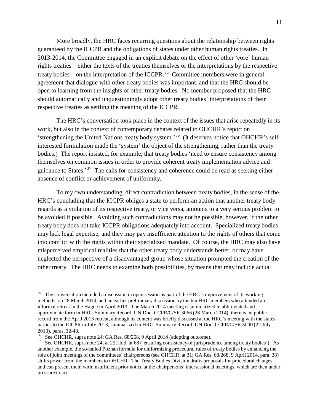More broadly, the HRC faces recurring questions about the relationship between rights guaranteed by the ICCPR and the obligations of states under other human rights treaties. In 2013-2014, the Committee engaged in an explicit debate on the effect of other 'core' human rights treaties – either the texts of the treaties themselves or the interpretations by the respective treaty bodies – on the interpretation of the ICCPR.<sup>35</sup> Committee members were in general agreement that dialogue with other treaty bodies was important, and that the HRC should be open to learning from the insights of other treaty bodies. No member proposed that the HRC should automatically and unquestioningly adopt other treaty bodies' interpretations of their respective treaties as settling the meaning of the ICCPR.

The HRC's conversation took place in the context of the issues that arise repeatedly in its work, but also in the context of contemporary debates related to OHCHR's report on 'strengthening the United Nations treaty body system.<sup>36</sup> (It deserves notice that OHCHR's selfinterested formulation made the 'system' the object of the strengthening, rather than the treaty bodies.) The report insisted, for example, that treaty bodies 'need to ensure consistency among themselves on common issues in order to provide coherent treaty implementation advice and guidance to States.<sup>37</sup> The calls for consistency and coherence could be read as seeking either absence of conflict or achievement of uniformity.

To my own understanding, direct contradiction between treaty bodies, in the sense of the HRC's concluding that the ICCPR obliges a state to perform an action that another treaty body regards as a violation of its respective treaty, or vice versa, amounts to a very serious problem to be avoided if possible. Avoiding such contradictions may not be possible, however, if the other treaty body does not take ICCPR obligations adequately into account. Specialized treaty bodies may lack legal expertise, and they may pay insufficient attention to the rights of others that come into conflict with the rights within their specialized mandate. Of course, the HRC may also have misperceived empirical realities that the other treaty body understands better, or may have neglected the perspective of a disadvantaged group whose situation prompted the creation of the other treaty. The HRC needs to examine both possibilities, by means that may include actual

<sup>&</sup>lt;sup>35</sup> The conversation included a discussion in open session as part of the HRC's improvement of its working methods, on 28 March 2014, and an earlier preliminary discussion by the ten HRC members who attended an informal retreat in the Hague in April 2013. The March 2014 meeting is summarized in abbreviated and approximate form in HRC, Summary Record, UN Doc. CCPR/C/SR.3066 (28 March 2014); there is no public record from the April 2013 retreat, although its content was briefly discussed at the HRC's meeting with the states parties to the ICCPR in July 2013, summarized in HRC, Summary Record, UN Doc. CCPR/C/SR.3000 (22 July 2013), paras. 32-48.

<sup>&</sup>lt;sup>36</sup> See OHCHR, supra note 24; GA Res. 68/268, 9 April 2014 (adopting outcome).

<sup>&</sup>lt;sup>37</sup> See OHCHR, supra note 24, at 25; ibid. at 68 ('ensuring consistency of jurisprudence among treaty bodies'). As another example, the so-called Poznan formula for uniformizing procedural rules of treaty bodies by enhancing the role of joint meetings of the committees' chairpersons (see OHCHR, at 31; GA Res. 68/268, 9 April 2014, para. 38) shifts power from the members to OHCHR. The Treaty Bodies Division drafts proposals for procedural changes and can present them with insufficient prior notice at the chairpersons' intersessional meetings, which are then under pressure to act.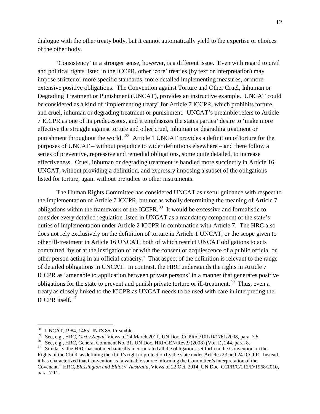dialogue with the other treaty body, but it cannot automatically yield to the expertise or choices of the other body.

'Consistency' in a stronger sense, however, is a different issue. Even with regard to civil and political rights listed in the ICCPR, other 'core' treaties (by text or interpretation) may impose stricter or more specific standards, more detailed implementing measures, or more extensive positive obligations. The Convention against Torture and Other Cruel, Inhuman or Degrading Treatment or Punishment (UNCAT), provides an instructive example. UNCAT could be considered as a kind of 'implementing treaty' for Article 7 ICCPR, which prohibits torture and cruel, inhuman or degrading treatment or punishment. UNCAT's preamble refers to Article 7 ICCPR as one of its predecessors, and it emphasizes the states parties' desire to 'make more effective the struggle against torture and other cruel, inhuman or degrading treatment or punishment throughout the world.<sup>38</sup> Article 1 UNCAT provides a definition of torture for the purposes of UNCAT – without prejudice to wider definitions elsewhere – and there follow a series of preventive, repressive and remedial obligations, some quite detailed, to increase effectiveness. Cruel, inhuman or degrading treatment is handled more succinctly in Article 16 UNCAT, without providing a definition, and expressly imposing a subset of the obligations listed for torture, again without prejudice to other instruments.

The Human Rights Committee has considered UNCAT as useful guidance with respect to the implementation of Article 7 ICCPR, but not as wholly determining the meaning of Article 7 obligations within the framework of the ICCPR.<sup>39</sup> It would be excessive and formalistic to consider every detailed regulation listed in UNCAT as a mandatory component of the state's duties of implementation under Article 2 ICCPR in combination with Article 7. The HRC also does not rely exclusively on the definition of torture in Article 1 UNCAT, or the scope given to other ill-treatment in Article 16 UNCAT, both of which restrict UNCAT obligations to acts committed 'by or at the instigation of or with the consent or acquiescence of a public official or other person acting in an official capacity.' That aspect of the definition is relevant to the range of detailed obligations in UNCAT. In contrast, the HRC understands the rights in Article 7 ICCPR as 'amenable to application between private persons' in a manner that generates positive obligations for the state to prevent and punish private torture or ill-treatment.<sup>40</sup> Thus, even a treaty as closely linked to the ICCPR as UNCAT needs to be used with care in interpreting the ICCPR itself. 41

<sup>&</sup>lt;sup>38</sup> UNCAT, 1984, 1465 UNTS 85, Preamble.

<sup>39</sup>See, e.g., HRC, *Giri v Nepal*, Views of 24 March 2011, UN Doc. CCPR/C/101/D/1761/2008, para. 7.5.

See, e.g., HRC, General Comment No. 31, UN Doc. HRI/GEN/Rev.9 (2008) (Vol. I), 244, para. 8.

<sup>&</sup>lt;sup>41</sup> Similarly, the HRC has not mechanically incorporated all the obligations set forth in the Convention on the Rights of the Child, as defining the child's right to protection by the state under Articles 23 and 24 ICCPR. Instead, it has characterized that Convention as 'a valuable source informing the Committee's interpretation of the Covenant.' HRC, *Blessington and Elliot v. Australia*, Views of 22 Oct. 2014, UN Doc. CCPR/C/112/D/1968/2010, para. 7.11.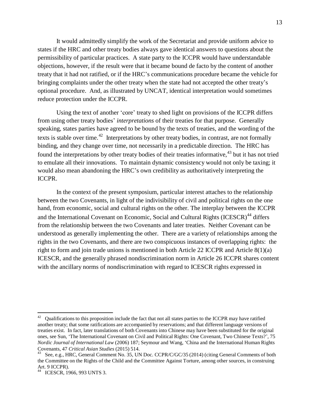It would admittedly simplify the work of the Secretariat and provide uniform advice to states if the HRC and other treaty bodies always gave identical answers to questions about the permissibility of particular practices. A state party to the ICCPR would have understandable objections, however, if the result were that it became bound de facto by the content of another treaty that it had not ratified, or if the HRC's communications procedure became the vehicle for bringing complaints under the other treaty when the state had not accepted the other treaty's optional procedure. And, as illustrated by UNCAT, identical interpretation would sometimes reduce protection under the ICCPR.

Using the text of another 'core' treaty to shed light on provisions of the ICCPR differs from using other treaty bodies' *interpretations* of their treaties for that purpose. Generally speaking, states parties have agreed to be bound by the texts of treaties, and the wording of the texts is stable over time.<sup>42</sup> Interpretations by other treaty bodies, in contrast, are not formally binding, and they change over time, not necessarily in a predictable direction. The HRC has found the interpretations by other treaty bodies of their treaties informative,<sup>43</sup> but it has not tried to emulate all their innovations. To maintain dynamic consistency would not only be taxing; it would also mean abandoning the HRC's own credibility as authoritatively interpreting the ICCPR.

In the context of the present symposium, particular interest attaches to the relationship between the two Covenants, in light of the indivisibility of civil and political rights on the one hand, from economic, social and cultural rights on the other. The interplay between the ICCPR and the International Covenant on Economic, Social and Cultural Rights (ICESCR)<sup>44</sup> differs from the relationship between the two Covenants and later treaties. Neither Covenant can be understood as generally implementing the other. There are a variety of relationships among the rights in the two Covenants, and there are two conspicuous instances of overlapping rights: the right to form and join trade unions is mentioned in both Article 22 ICCPR and Article 8(1)(a) ICESCR, and the generally phrased nondiscrimination norm in Article 26 ICCPR shares content with the ancillary norms of nondiscrimination with regard to ICESCR rights expressed in

<sup>&</sup>lt;sup>42</sup> Qualifications to this proposition include the fact that not all states parties to the ICCPR may have ratified another treaty; that some ratifications are accompanied by reservations; and that different language versions of treaties exist. In fact, later translations of both Covenants into Chinese may have been substituted for the original ones, see Sun, 'The International Covenant on Civil and Political Rights: One Covenant, Two Chinese Texts?', 75 *Nordic Journal of International Law* (2006) 187; Seymour and Wang, 'China and the International Human Rights Covenants, 47 *Critical Asian Studies* (2015) 514.

<sup>&</sup>lt;sup>43</sup> See, e.g., HRC, General Comment No. 35, UN Doc. CCPR/C/GC/35 (2014) (citing General Comments of both the Committee on the Rights of the Child and the Committee Against Torture, among other sources, in construing Art. 9 ICCPR).

<sup>&</sup>lt;sup>44</sup> ICESCR, 1966, 993 UNTS 3.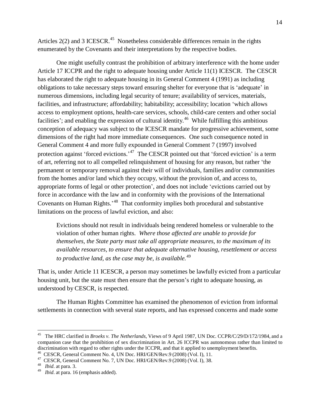Articles  $2(2)$  and 3 ICESCR.<sup>45</sup> Nonetheless considerable differences remain in the rights enumerated by the Covenants and their interpretations by the respective bodies.

One might usefully contrast the prohibition of arbitrary interference with the home under Article 17 ICCPR and the right to adequate housing under Article 11(1) ICESCR. The CESCR has elaborated the right to adequate housing in its General Comment 4 (1991) as including obligations to take necessary steps toward ensuring shelter for everyone that is 'adequate' in numerous dimensions, including legal security of tenure; availability of services, materials, facilities, and infrastructure; affordability; habitability; accessibility; location 'which allows access to employment options, health-care services, schools, child-care centers and other social facilities'; and enabling the expression of cultural identity.<sup>46</sup> While fulfilling this ambitious conception of adequacy was subject to the ICESCR mandate for progressive achievement, some dimensions of the right had more immediate consequences. One such consequence noted in General Comment 4 and more fully expounded in General Comment 7 (1997) involved protection against 'forced evictions.'<sup>47</sup> The CESCR pointed out that 'forced eviction' is a term of art, referring not to all compelled relinquishment of housing for any reason, but rather 'the permanent or temporary removal against their will of individuals, families and/or communities from the homes and/or land which they occupy, without the provision of, and access to, appropriate forms of legal or other protection', and does not include 'evictions carried out by force in accordance with the law and in conformity with the provisions of the International Covenants on Human Rights.<sup>48</sup> That conformity implies both procedural and substantive limitations on the process of lawful eviction, and also:

Evictions should not result in individuals being rendered homeless or vulnerable to the violation of other human rights. *Where those affected are unable to provide for themselves, the State party must take all appropriate measures, to the maximum of its available resources, to ensure that adequate alternative housing, resettlement or access to productive land, as the case may be, is available.* 49

That is, under Article 11 ICESCR, a person may sometimes be lawfully evicted from a particular housing unit, but the state must then ensure that the person's right to adequate housing, as understood by CESCR, is respected.

The Human Rights Committee has examined the phenomenon of eviction from informal settlements in connection with several state reports, and has expressed concerns and made some

<sup>&</sup>lt;sup>45</sup> The HRC clarified in *Broeks v. The Netherlands*, Views of 9 April 1987, UN Doc. CCPR/C/29/D/172/1984, and a companion case that the prohibition of sex discrimination in Art. 26 ICCPR was autonomous rather than limited to discrimination with regard to other rights under the ICCPR, and that it applied to unemployment benefits.

<sup>&</sup>lt;sup>46</sup> CESCR, General Comment No. 4, UN Doc. HRI/GEN/Rev.9 (2008) (Vol. I), 11.

<sup>47</sup> CESCR, General Comment No. 7, UN Doc. HRI/GEN/Rev.9 (2008) (Vol. I), 38.

<sup>48</sup>*Ibid*. at para. 3.

<sup>49</sup>*Ibid*. at para. 16 (emphasis added).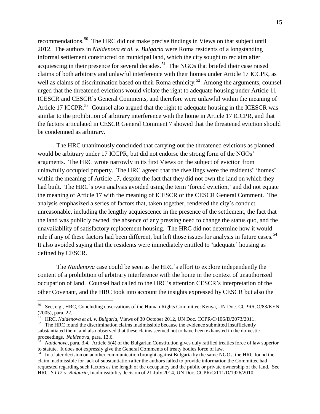recommendations.<sup>50</sup> The HRC did not make precise findings in Views on that subject until 2012. The authors in *Naidenova et al. v. Bulgaria* were Roma residents of a longstanding informal settlement constructed on municipal land, which the city sought to reclaim after acquiescing in their presence for several decades.<sup>51</sup> The NGOs that briefed their case raised claims of both arbitrary and unlawful interference with their homes under Article 17 ICCPR, as well as claims of discrimination based on their Roma ethnicity.<sup>52</sup> Among the arguments, counsel urged that the threatened evictions would violate the right to adequate housing under Article 11 ICESCR and CESCR's General Comments, and therefore were unlawful within the meaning of Article 17 ICCPR.<sup>53</sup> Counsel also argued that the right to adequate housing in the ICESCR was similar to the prohibition of arbitrary interference with the home in Article 17 ICCPR, and that the factors articulated in CESCR General Comment 7 showed that the threatened eviction should be condemned as arbitrary.

The HRC unanimously concluded that carrying out the threatened evictions as planned would be arbitrary under 17 ICCPR, but did not endorse the strong form of the NGOs' arguments. The HRC wrote narrowly in its first Views on the subject of eviction from unlawfully occupied property. The HRC agreed that the dwellings were the residents' 'homes' within the meaning of Article 17, despite the fact that they did not own the land on which they had built. The HRC's own analysis avoided using the term 'forced eviction,' and did not equate the meaning of Article 17 with the meaning of ICESCR or the CESCR General Comment. The analysis emphasized a series of factors that, taken together, rendered the city's conduct unreasonable, including the lengthy acquiescence in the presence of the settlement, the fact that the land was publicly owned, the absence of any pressing need to change the status quo, and the unavailability of satisfactory replacement housing. The HRC did not determine how it would rule if any of these factors had been different, but left those issues for analysis in future cases.<sup>54</sup> It also avoided saying that the residents were immediately entitled to 'adequate' housing as defined by CESCR.

The *Naidenova* case could be seen as the HRC's effort to explore independently the content of a prohibition of arbitrary interference with the home in the context of unauthorized occupation of land. Counsel had called to the HRC's attention CESCR's interpretation of the other Covenant, and the HRC took into account the insights expressed by CESCR but also the

<sup>50</sup> See, e.g., HRC, Concluding observations of the Human Rights Committee: Kenya, UN Doc. CCPR/CO/83/KEN  $(2005)$ , para. 22.

<sup>51</sup>HRC, *Naidenova et al. v. Bulgaria*, Views of 30 October 2012, UN Doc. CCPR/C/106/D/2073/2011.

 $52$  The HRC found the discrimination claims inadmissible because the evidence submitted insufficiently substantiated them, and also observed that these claims seemed not to have been exhausted in the domestic proceedings. *Naidenova*, para. 13.6.

<sup>53</sup>*Naidenova*, para. 3.4. Article 5(4) of the Bulgarian Constitution gives duly ratified treaties force of law superior to statute. It does not expressly give the General Comments of treaty bodies force of law.

<sup>&</sup>lt;sup>54</sup> In a later decision on another communication brought against Bulgaria by the same NGOs, the HRC found the claim inadmissible for lack of substantiation after the authors failed to provide information the Committee had requested regarding such factors as the length of the occupancy and the public or private ownership of the land. See HRC, *S.I.D. v. Bulgaria*, Inadmissibility decision of 21 July 2014, UN Doc. CCPR/C/111/D/1926/2010.